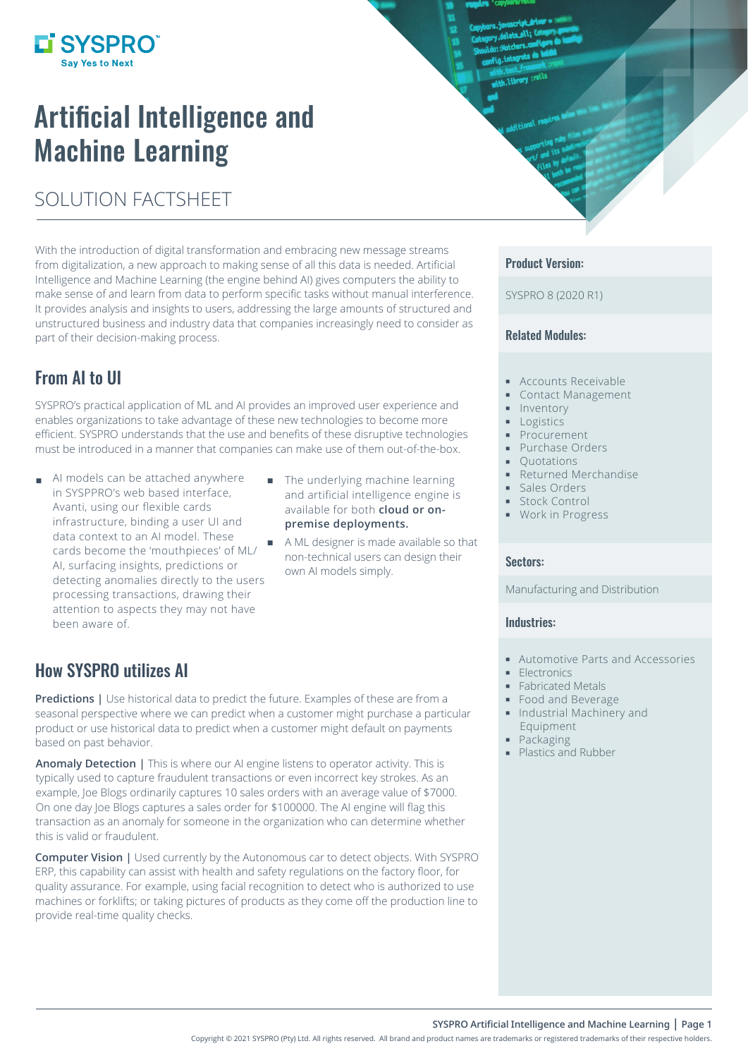# Artificial Intelligence and Machine Learning

## SOLUTION FACTSHEET

L'SYSPRO **Sav Yes to Next** 

With the introduction of digital transformation and embracing new message streams from digitalization, a new approach to making sense of all this data is needed. Artificial Intelligence and Machine Learning (the engine behind AI) gives computers the ability to make sense of and learn from data to perform specific tasks without manual interference. It provides analysis and insights to users, addressing the large amounts of structured and unstructured business and industry data that companies increasingly need to consider as part of their decision-making process.

## From AI to UI

SYSPRO's practical application of ML and AI provides an improved user experience and enables organizations to take advantage of these new technologies to become more efficient. SYSPRO understands that the use and benefits of these disruptive technologies must be introduced in a manner that companies can make use of them out-of-the-box.

- $\blacksquare$  Al models can be attached anywhere  $\blacksquare$  The underlying machine learning AI models can be attached anywhere in SYSPPRO's web based interface, Avanti, using our flexible cards infrastructure, binding a user UI and data context to an AI model. These cards become the 'mouthpieces' of ML/ AI, surfacing insights, predictions or detecting anomalies directly to the users processing transactions, drawing their attention to aspects they may not have been aware of.
	- and artificial intelligence engine is available for both **cloud or onpremise deployments.**
	- A ML designer is made available so that non-technical users can design their own AI models simply.

## How SYSPRO utilizes AI

**Predictions |** Use historical data to predict the future. Examples of these are from a seasonal perspective where we can predict when a customer might purchase a particular product or use historical data to predict when a customer might default on payments based on past behavior.

**Anomaly Detection |** This is where our AI engine listens to operator activity. This is typically used to capture fraudulent transactions or even incorrect key strokes. As an example, Joe Blogs ordinarily captures 10 sales orders with an average value of \$7000. On one day Joe Blogs captures a sales order for \$100000. The AI engine will flag this transaction as an anomaly for someone in the organization who can determine whether this is valid or fraudulent.

**Computer Vision |** Used currently by the Autonomous car to detect objects. With SYSPRO ERP, this capability can assist with health and safety regulations on the factory floor, for quality assurance. For example, using facial recognition to detect who is authorized to use machines or forklifts; or taking pictures of products as they come off the production line to provide real-time quality checks.

#### Product Version:

SYSPRO 8 (2020 R1)

#### Related Modules:

- **Accounts Receivable**
- Contact Management
- **Inventory**
- **Logistics**
- Procurement
- **Purchase Orders**
- **Cuotations**
- **Returned Merchandise**
- Sales Orders
- **Stock Control**
- **Work in Progress**

#### Sectors:

Manufacturing and Distribution

#### Industries:

- Automotive Parts and Accessories
- **Electronics**
- **Fabricated Metals**
- **Food and Beverage**
- **Industrial Machinery and** Equipment
- **Packaging**
- Plastics and Rubber